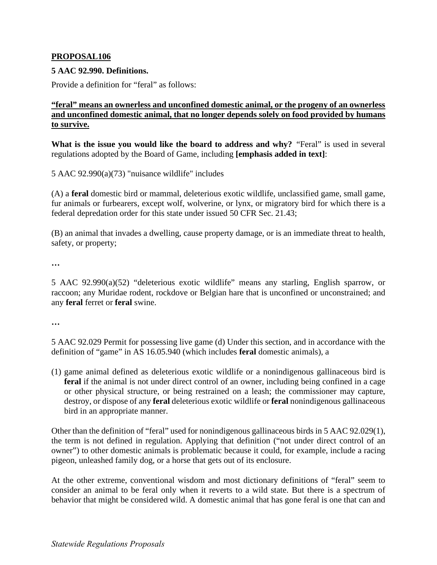## **PROPOSAL106**

## **5 AAC 92.990. Definitions.**

Provide a definition for "feral" as follows:

## **"feral" means an ownerless and unconfined domestic animal, or the progeny of an ownerless and unconfined domestic animal, that no longer depends solely on food provided by humans to survive.**

**What is the issue you would like the board to address and why?** "Feral" is used in several regulations adopted by the Board of Game, including **[emphasis added in text]**:

5 AAC 92.990(a)(73) "nuisance wildlife" includes

(A) a **feral** domestic bird or mammal, deleterious exotic wildlife, unclassified game, small game, fur animals or furbearers, except wolf, wolverine, or lynx, or migratory bird for which there is a federal depredation order for this state under issued 50 CFR Sec. 21.43;

(B) an animal that invades a dwelling, cause property damage, or is an immediate threat to health, safety, or property;

**…** 

5 AAC 92.990(a)(52) "deleterious exotic wildlife" means any starling, English sparrow, or raccoon; any Muridae rodent, rockdove or Belgian hare that is unconfined or unconstrained; and any **feral** ferret or **feral** swine.

**…** 

5 AAC 92.029 Permit for possessing live game (d) Under this section, and in accordance with the definition of "game" in AS 16.05.940 (which includes **feral** domestic animals), a

(1) game animal defined as deleterious exotic wildlife or a nonindigenous gallinaceous bird is **feral** if the animal is not under direct control of an owner, including being confined in a cage or other physical structure, or being restrained on a leash; the commissioner may capture, destroy, or dispose of any **feral** deleterious exotic wildlife or **feral** nonindigenous gallinaceous bird in an appropriate manner.

Other than the definition of "feral" used for nonindigenous gallinaceous birds in 5 AAC 92.029(1), the term is not defined in regulation. Applying that definition ("not under direct control of an owner") to other domestic animals is problematic because it could, for example, include a racing pigeon, unleashed family dog, or a horse that gets out of its enclosure.

At the other extreme, conventional wisdom and most dictionary definitions of "feral" seem to consider an animal to be feral only when it reverts to a wild state. But there is a spectrum of behavior that might be considered wild. A domestic animal that has gone feral is one that can and